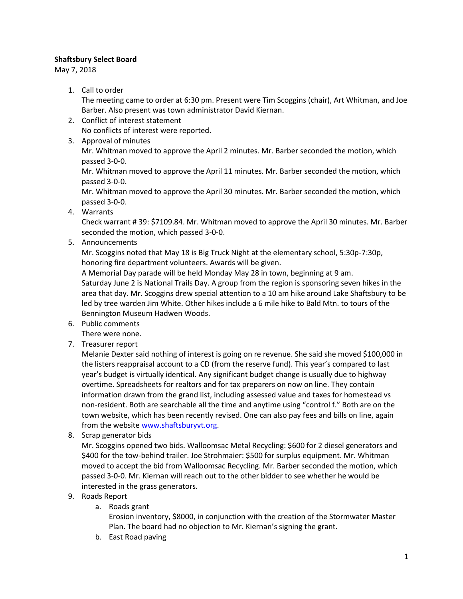## **Shaftsbury Select Board**

May 7, 2018

1. Call to order

The meeting came to order at 6:30 pm. Present were Tim Scoggins (chair), Art Whitman, and Joe Barber. Also present was town administrator David Kiernan.

- 2. Conflict of interest statement No conflicts of interest were reported.
- 3. Approval of minutes

Mr. Whitman moved to approve the April 2 minutes. Mr. Barber seconded the motion, which passed 3-0-0.

Mr. Whitman moved to approve the April 11 minutes. Mr. Barber seconded the motion, which passed 3-0-0.

Mr. Whitman moved to approve the April 30 minutes. Mr. Barber seconded the motion, which passed 3-0-0.

4. Warrants

Check warrant # 39: \$7109.84. Mr. Whitman moved to approve the April 30 minutes. Mr. Barber seconded the motion, which passed 3-0-0.

5. Announcements

Mr. Scoggins noted that May 18 is Big Truck Night at the elementary school, 5:30p-7:30p, honoring fire department volunteers. Awards will be given.

A Memorial Day parade will be held Monday May 28 in town, beginning at 9 am.

Saturday June 2 is National Trails Day. A group from the region is sponsoring seven hikes in the area that day. Mr. Scoggins drew special attention to a 10 am hike around Lake Shaftsbury to be led by tree warden Jim White. Other hikes include a 6 mile hike to Bald Mtn. to tours of the Bennington Museum Hadwen Woods.

- 6. Public comments
	- There were none.
- 7. Treasurer report

Melanie Dexter said nothing of interest is going on re revenue. She said she moved \$100,000 in the listers reappraisal account to a CD (from the reserve fund). This year's compared to last year's budget is virtually identical. Any significant budget change is usually due to highway overtime. Spreadsheets for realtors and for tax preparers on now on line. They contain information drawn from the grand list, including assessed value and taxes for homestead vs non-resident. Both are searchable all the time and anytime using "control f." Both are on the town website, which has been recently revised. One can also pay fees and bills on line, again from the website [www.shaftsburyvt.org.](http://www.shaftsburyvt.org/)

8. Scrap generator bids

Mr. Scoggins opened two bids. Walloomsac Metal Recycling: \$600 for 2 diesel generators and \$400 for the tow-behind trailer. Joe Strohmaier: \$500 for surplus equipment. Mr. Whitman moved to accept the bid from Walloomsac Recycling. Mr. Barber seconded the motion, which passed 3-0-0. Mr. Kiernan will reach out to the other bidder to see whether he would be interested in the grass generators.

- 9. Roads Report
	- a. Roads grant

Erosion inventory, \$8000, in conjunction with the creation of the Stormwater Master Plan. The board had no objection to Mr. Kiernan's signing the grant.

b. East Road paving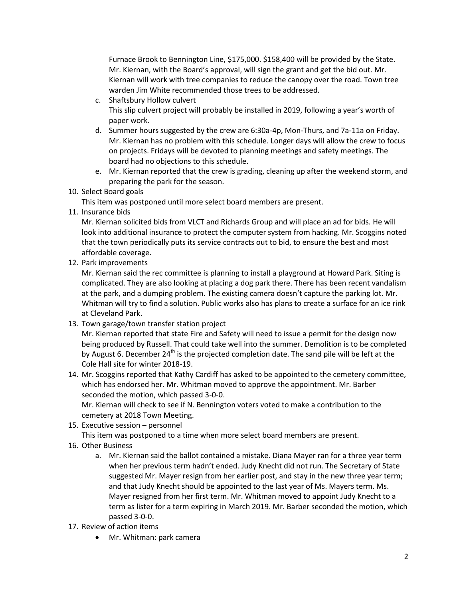Furnace Brook to Bennington Line, \$175,000. \$158,400 will be provided by the State. Mr. Kiernan, with the Board's approval, will sign the grant and get the bid out. Mr. Kiernan will work with tree companies to reduce the canopy over the road. Town tree warden Jim White recommended those trees to be addressed.

- c. Shaftsbury Hollow culvert This slip culvert project will probably be installed in 2019, following a year's worth of paper work.
- d. Summer hours suggested by the crew are 6:30a-4p, Mon-Thurs, and 7a-11a on Friday. Mr. Kiernan has no problem with this schedule. Longer days will allow the crew to focus on projects. Fridays will be devoted to planning meetings and safety meetings. The board had no objections to this schedule.
- e. Mr. Kiernan reported that the crew is grading, cleaning up after the weekend storm, and preparing the park for the season.
- 10. Select Board goals

This item was postponed until more select board members are present.

11. Insurance bids

Mr. Kiernan solicited bids from VLCT and Richards Group and will place an ad for bids. He will look into additional insurance to protect the computer system from hacking. Mr. Scoggins noted that the town periodically puts its service contracts out to bid, to ensure the best and most affordable coverage.

12. Park improvements

Mr. Kiernan said the rec committee is planning to install a playground at Howard Park. Siting is complicated. They are also looking at placing a dog park there. There has been recent vandalism at the park, and a dumping problem. The existing camera doesn't capture the parking lot. Mr. Whitman will try to find a solution. Public works also has plans to create a surface for an ice rink at Cleveland Park.

13. Town garage/town transfer station project

Mr. Kiernan reported that state Fire and Safety will need to issue a permit for the design now being produced by Russell. That could take well into the summer. Demolition is to be completed by August 6. December 24<sup>th</sup> is the projected completion date. The sand pile will be left at the Cole Hall site for winter 2018-19.

14. Mr. Scoggins reported that Kathy Cardiff has asked to be appointed to the cemetery committee, which has endorsed her. Mr. Whitman moved to approve the appointment. Mr. Barber seconded the motion, which passed 3-0-0.

Mr. Kiernan will check to see if N. Bennington voters voted to make a contribution to the cemetery at 2018 Town Meeting.

15. Executive session – personnel

This item was postponed to a time when more select board members are present.

- 16. Other Business
	- a. Mr. Kiernan said the ballot contained a mistake. Diana Mayer ran for a three year term when her previous term hadn't ended. Judy Knecht did not run. The Secretary of State suggested Mr. Mayer resign from her earlier post, and stay in the new three year term; and that Judy Knecht should be appointed to the last year of Ms. Mayers term. Ms. Mayer resigned from her first term. Mr. Whitman moved to appoint Judy Knecht to a term as lister for a term expiring in March 2019. Mr. Barber seconded the motion, which passed 3-0-0.
- 17. Review of action items
	- Mr. Whitman: park camera